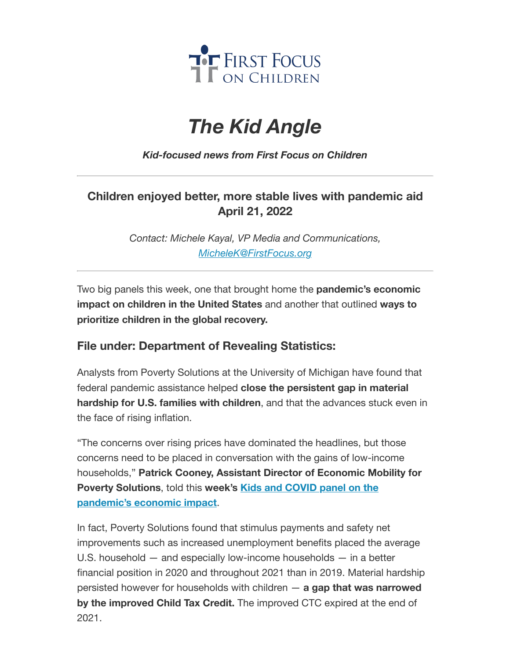

## *The Kid Angle*

*Kid-focused news from First Focus on Children*

## **Children enjoyed better, more stable lives with pandemic aid April 21, 2022**

*Contact: Michele Kayal, VP Media and Communications, [MicheleK@FirstFocus.org](mailto:MicheleK@firstfocus.org)*

Two big panels this week, one that brought home the **pandemic's economic impact on children in the United States** and another that outlined **ways to prioritize children in the global recovery.**

## **File under: Department of Revealing Statistics:**

Analysts from Poverty Solutions at the University of Michigan have found that federal pandemic assistance helped **close the persistent gap in material hardship for U.S. families with children**, and that the advances stuck even in the face of rising inflation.

"The concerns over rising prices have dominated the headlines, but those concerns need to be placed in conversation with the gains of low-income households," **Patrick Cooney, Assistant Director of Economic Mobility for Poverty Solutions**, told this **week's Kids and COVID panel on the [pandemic's](https://action.campaignforchildren.org/r?u=FzF-KU0ygDWc21UK_uySevW1-zlcSNUtCWnDcnU-x4nwhRn-7JMrF1ebw3Dqk6hOoS2N7MxL23wwYo9zidJWRv5dazRvgQ1FZteQ9D8r2fY&e=6d50ef9bac605c372bd31a2e7c9cacfd&utm_source=ffcc&utm_medium=email&utm_campaign=_97_supporters&n=2&test_email=1) economic impact**.

In fact, Poverty Solutions found that stimulus payments and safety net improvements such as increased unemployment benefits placed the average U.S. household — and especially low-income households — in a better financial position in 2020 and throughout 2021 than in 2019. Material hardship persisted however for households with children — **a gap that was narrowed by the improved Child Tax Credit.** The improved CTC expired at the end of 2021.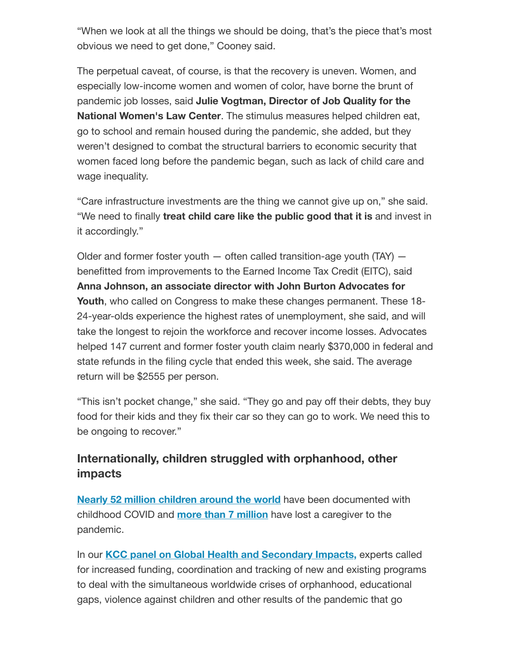"When we look at all the things we should be doing, that's the piece that's most obvious we need to get done," Cooney said.

The perpetual caveat, of course, is that the recovery is uneven. Women, and especially low-income women and women of color, have borne the brunt of pandemic job losses, said **Julie Vogtman, Director of Job Quality for the National Women's Law Center**. The stimulus measures helped children eat, go to school and remain housed during the pandemic, she added, but they weren't designed to combat the structural barriers to economic security that women faced long before the pandemic began, such as lack of child care and wage inequality.

"Care infrastructure investments are the thing we cannot give up on," she said. "We need to finally **treat child care like the public good that it is** and invest in it accordingly."

Older and former foster youth  $-$  often called transition-age youth (TAY)  $$ benefitted from improvements to the Earned Income Tax Credit (EITC), said **Anna Johnson, an associate director with John Burton Advocates for Youth**, who called on Congress to make these changes permanent. These 18- 24-year-olds experience the highest rates of unemployment, she said, and will take the longest to rejoin the workforce and recover income losses. Advocates helped 147 current and former foster youth claim nearly \$370,000 in federal and state refunds in the filing cycle that ended this week, she said. The average return will be \$2555 per person.

"This isn't pocket change," she said. "They go and pay off their debts, they buy food for their kids and they fix their car so they can go to work. We need this to be ongoing to recover."

## **Internationally, children struggled with orphanhood, other impacts**

**Nearly 52 million [children](https://action.campaignforchildren.org/r?u=klyq-DtP6CxcyqeYYV2w3TuPFd_tQl2pEtkG6MyFBNfv_RoedEYoBjX_gwRZa3FWJNQjS3bguBDaWVzzkBkQoBUSzlpzQE_OjHXngNfw1PN6DF3Ked6BwGN0keteKodY&e=6d50ef9bac605c372bd31a2e7c9cacfd&utm_source=ffcc&utm_medium=email&utm_campaign=_97_supporters&n=3&test_email=1) around the world** have been documented with childhood COVID and **more than 7 [million](https://action.campaignforchildren.org/r?u=EtwPAQlyomc4YLfIIdf97uTZUTVwD3VRAF4yWCKqbVTkDVo3EFDYSO9ywQlpXLtzUC6k4cNiqSaHBq0RlfvDPD92DhDF0mbvmo0OY3swkX0&e=6d50ef9bac605c372bd31a2e7c9cacfd&utm_source=ffcc&utm_medium=email&utm_campaign=_97_supporters&n=4&test_email=1)** have lost a caregiver to the pandemic.

In our **KCC panel on Global Health and [Secondary](https://action.campaignforchildren.org/r?u=FzF-KU0ygDWc21UK_uySevW1-zlcSNUtCWnDcnU-x4nwhRn-7JMrF1ebw3Dqk6hOFJzO2mnUXIKUANGA-cJ0lQmMET7n3qUMeLhvXy_z7kk&e=6d50ef9bac605c372bd31a2e7c9cacfd&utm_source=ffcc&utm_medium=email&utm_campaign=_97_supporters&n=5&test_email=1) Impacts,** experts called for increased funding, coordination and tracking of new and existing programs to deal with the simultaneous worldwide crises of orphanhood, educational gaps, violence against children and other results of the pandemic that go